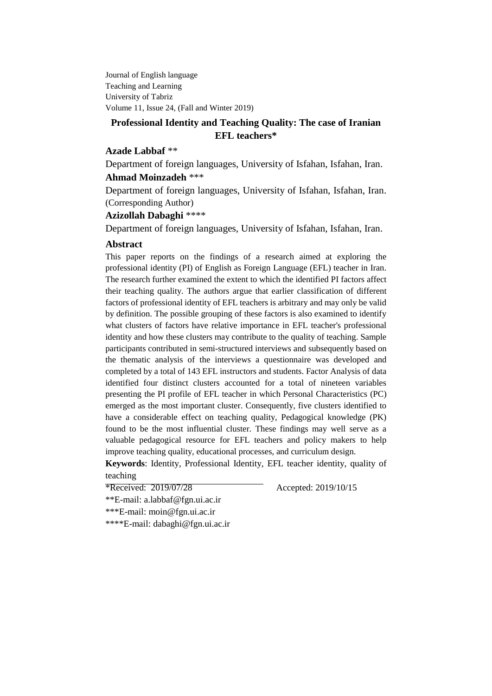Journal of English language Teaching and Learning University of Tabriz Volume 11, Issue 24, (Fall and Winter 2019)

# **Professional Identity and Teaching Quality: The case of Iranian EFL teachers\***

### **Azade Labbaf** \*\*

Department of foreign languages, University of Isfahan, Isfahan, Iran. **Ahmad Moinzadeh** \*\*\*

Department of foreign languages, University of Isfahan, Isfahan, Iran. (Corresponding Author)

**Azizollah Dabaghi** \*\*\*\*

Department of foreign languages, University of Isfahan, Isfahan, Iran.

#### **Abstract**

This paper reports on the findings of a research aimed at exploring the professional identity (PI) of English as Foreign Language (EFL) teacher in Iran. The research further examined the extent to which the identified PI factors affect their teaching quality. The authors argue that earlier classification of different factors of professional identity of EFL teachers is arbitrary and may only be valid by definition. The possible grouping of these factors is also examined to identify what clusters of factors have relative importance in EFL teacher's professional identity and how these clusters may contribute to the quality of teaching. Sample participants contributed in semi-structured interviews and subsequently based on the thematic analysis of the interviews a questionnaire was developed and completed by a total of 143 EFL instructors and students. Factor Analysis of data identified four distinct clusters accounted for a total of nineteen variables presenting the PI profile of EFL teacher in which Personal Characteristics (PC) emerged as the most important cluster. Consequently, five clusters identified to have a considerable effect on teaching quality, Pedagogical knowledge (PK) found to be the most influential cluster. These findings may well serve as a valuable pedagogical resource for EFL teachers and policy makers to help improve teaching quality, educational processes, and curriculum design.

**Keywords**: Identity, Professional Identity, EFL teacher identity, quality of teaching

\*Received: 2019/07/28 Accepted: 2019/10/15

\*\*E-mail: [a.labbaf@fgn.ui.ac.ir](mailto:a.labbaf@fgn.ui.ac.ir)

\*\*\*E-mail: [moin@fgn.ui.ac.ir](mailto:moin@fgn.ui.ac.ir)

\*\*\*\*E-mail: [dabaghi@fgn.ui.ac.ir](mailto:dabaghi@fgn.ui.ac.ir)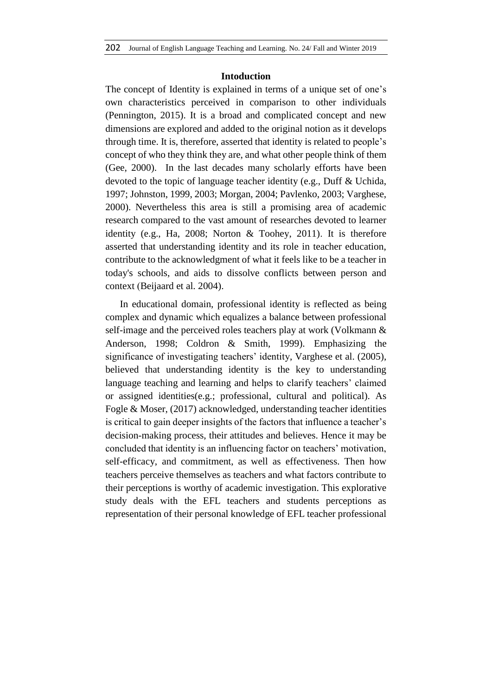#### **Intoduction**

The concept of Identity is explained in terms of a unique set of one's own characteristics perceived in comparison to other individuals (Pennington, 2015). It is a broad and complicated concept and new dimensions are explored and added to the original notion as it develops through time. It is, therefore, asserted that identity is related to people's concept of who they think they are, and what other people think of them (Gee, 2000). In the last decades many scholarly efforts have been devoted to the topic of language teacher identity (e.g., Duff & Uchida, 1997; Johnston, 1999, 2003; Morgan, 2004; Pavlenko, 2003; Varghese, 2000). Nevertheless this area is still a promising area of academic research compared to the vast amount of researches devoted to learner identity (e.g., Ha, 2008; Norton & Toohey, 2011). It is therefore asserted that understanding identity and its role in teacher education, contribute to the acknowledgment of what it feels like to be a teacher in today's schools, and aids to dissolve conflicts between person and context (Beijaard et al. 2004).

In educational domain, professional identity is reflected as being complex and dynamic which equalizes a balance between professional self-image and the perceived roles teachers play at work (Volkmann & Anderson, 1998; Coldron & Smith, 1999). Emphasizing the significance of investigating teachers' identity, Varghese et al. (2005), believed that understanding identity is the key to understanding language teaching and learning and helps to clarify teachers' claimed or assigned identities(e.g.; professional, cultural and political). As Fogle & Moser, (2017) acknowledged, understanding teacher identities is critical to gain deeper insights of the factors that influence a teacher's decision-making process, their attitudes and believes. Hence it may be concluded that identity is an influencing factor on teachers' motivation, self-efficacy, and commitment, as well as effectiveness. Then how teachers perceive themselves as teachers and what factors contribute to their perceptions is worthy of academic investigation. This explorative study deals with the EFL teachers and students perceptions as representation of their personal knowledge of EFL teacher professional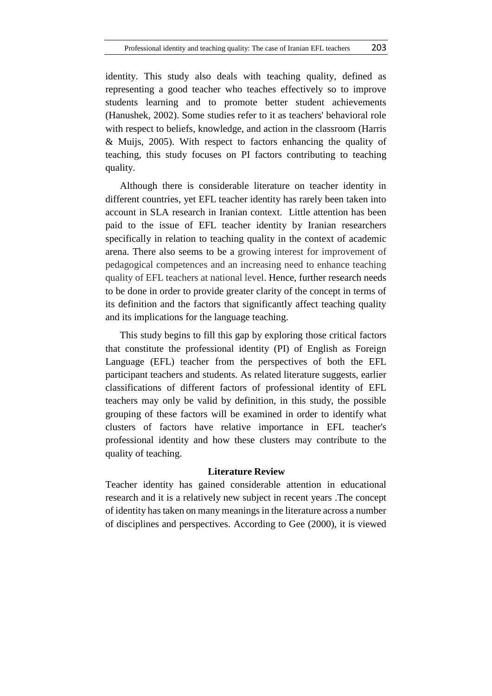identity. This study also deals with teaching quality, defined as representing a good teacher who teaches effectively so to improve students learning and to promote better student achievements (Hanushek, 2002). Some studies refer to it as teachers' behavioral role with respect to beliefs, knowledge, and action in the classroom (Harris & Muijs, 2005). With respect to factors enhancing the quality of teaching, this study focuses on PI factors contributing to teaching quality.

Although there is considerable literature on teacher identity in different countries, yet EFL teacher identity has rarely been taken into account in SLA research in Iranian context. Little attention has been paid to the issue of EFL teacher identity by Iranian researchers specifically in relation to teaching quality in the context of academic arena. There also seems to be a growing interest for improvement of pedagogical competences and an increasing need to enhance teaching quality of EFL teachers at national level. Hence, further research needs to be done in order to provide greater clarity of the concept in terms of its definition and the factors that significantly affect teaching quality and its implications for the language teaching.

This study begins to fill this gap by exploring those critical factors that constitute the professional identity (PI) of English as Foreign Language (EFL) teacher from the perspectives of both the EFL participant teachers and students. As related literature suggests, earlier classifications of different factors of professional identity of EFL teachers may only be valid by definition, in this study, the possible grouping of these factors will be examined in order to identify what clusters of factors have relative importance in EFL teacher's professional identity and how these clusters may contribute to the quality of teaching.

#### **Literature Review**

Teacher identity has gained considerable attention in educational research and it is a relatively new subject in recent years .The concept of identity has taken on many meanings in the literature across a number of disciplines and perspectives. According to Gee (2000), it is viewed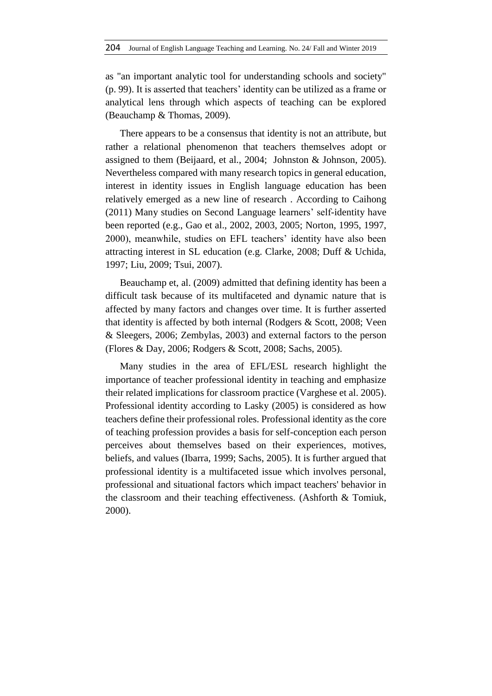as "an important analytic tool for understanding schools and society" (p. 99). It is asserted that teachers' identity can be utilized as a frame or analytical lens through which aspects of teaching can be explored (Beauchamp & Thomas, 2009).

There appears to be a consensus that identity is not an attribute, but rather a relational phenomenon that teachers themselves adopt or assigned to them (Beijaard, et al., 2004; Johnston & Johnson, 2005). Nevertheless compared with many research topics in general education, interest in identity issues in English language education has been relatively emerged as a new line of research . According to Caihong (2011) Many studies on Second Language learners' self-identity have been reported (e.g., Gao et al., 2002, 2003, 2005; Norton, 1995, 1997, 2000), meanwhile, studies on EFL teachers' identity have also been attracting interest in SL education (e.g. Clarke, 2008; Duff & Uchida, 1997; Liu, 2009; Tsui, 2007).

Beauchamp et, al. (2009) admitted that defining identity has been a difficult task because of its multifaceted and dynamic nature that is affected by many factors and changes over time. It is further asserted that identity is affected by both internal (Rodgers & Scott, 2008; Veen & Sleegers, 2006; Zembylas, 2003) and external factors to the person (Flores & Day, 2006; Rodgers & Scott, 2008; Sachs, 2005).

Many studies in the area of EFL/ESL research highlight the importance of teacher professional identity in teaching and emphasize their related implications for classroom practice (Varghese et al. 2005). Professional identity according to Lasky (2005) is considered as how teachers define their professional roles. Professional identity as the core of teaching profession provides a basis for self-conception each person perceives about themselves based on their experiences, motives, beliefs, and values (Ibarra, 1999; Sachs, 2005). It is further argued that professional identity is a multifaceted issue which involves personal, professional and situational factors which impact teachers' behavior in the classroom and their teaching effectiveness. (Ashforth & Tomiuk, 2000).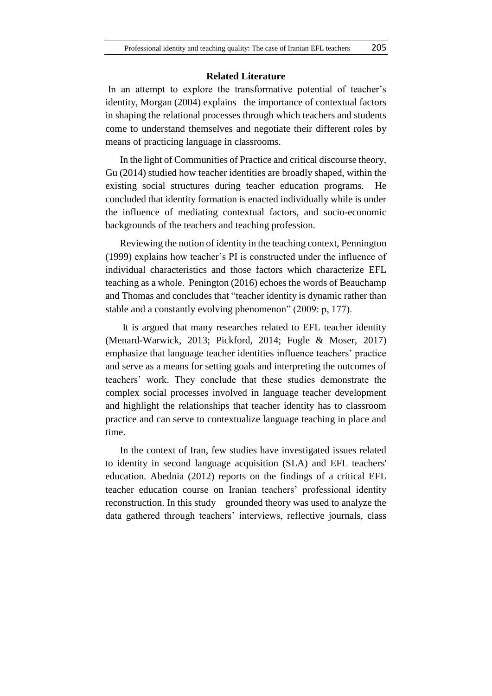### **Related Literature**

In an attempt to explore the transformative potential of teacher's identity, Morgan (2004) explains the importance of contextual factors in shaping the relational processes through which teachers and students come to understand themselves and negotiate their different roles by means of practicing language in classrooms.

In the light of Communities of Practice and critical discourse theory, Gu (2014) studied how teacher identities are broadly shaped, within the existing social structures during teacher education programs. He concluded that identity formation is enacted individually while is under the influence of mediating contextual factors, and socio-economic backgrounds of the teachers and teaching profession.

Reviewing the notion of identity in the teaching context, Pennington (1999) explains how teacher's PI is constructed under the influence of individual characteristics and those factors which characterize EFL teaching as a whole. Penington (2016) echoes the words of Beauchamp and Thomas and concludes that "teacher identity is dynamic rather than stable and a constantly evolving phenomenon" (2009: p, 177).

It is argued that many researches related to EFL teacher identity (Menard-Warwick, 2013; Pickford, 2014; Fogle & Moser, 2017) emphasize that language teacher identities influence teachers' practice and serve as a means for setting goals and interpreting the outcomes of teachers' work. They conclude that these studies demonstrate the complex social processes involved in language teacher development and highlight the relationships that teacher identity has to classroom practice and can serve to contextualize language teaching in place and time.

In the context of Iran, few studies have investigated issues related to identity in second language acquisition (SLA) and EFL teachers' education. Abednia (2012) reports on the findings of a critical EFL teacher education course on Iranian teachers' professional identity reconstruction. In this study grounded theory was used to analyze the data gathered through teachers' interviews, reflective journals, class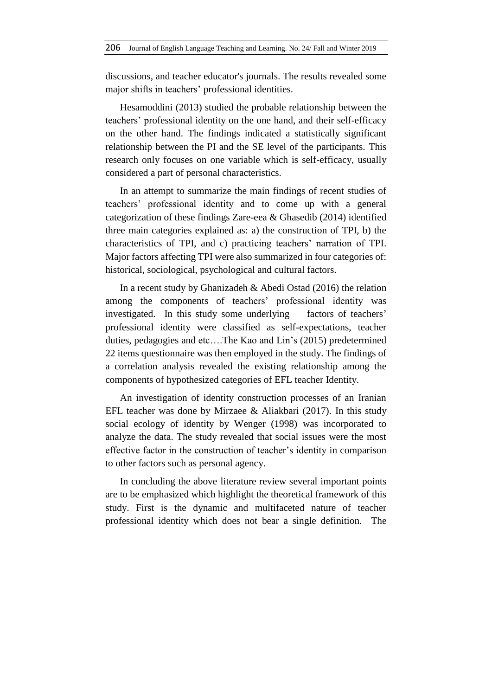discussions, and teacher educator's journals. The results revealed some major shifts in teachers' professional identities.

Hesamoddini (2013) studied the probable relationship between the teachers' professional identity on the one hand, and their self-efficacy on the other hand. The findings indicated a statistically significant relationship between the PI and the SE level of the participants. This research only focuses on one variable which is self-efficacy, usually considered a part of personal characteristics.

In an attempt to summarize the main findings of recent studies of teachers' professional identity and to come up with a general categorization of these findings Zare-eea & Ghasedib (2014) identified three main categories explained as: a) the construction of TPI, b) the characteristics of TPI, and c) practicing teachers' narration of TPI. Major factors affecting TPI were also summarized in four categories of: historical, sociological, psychological and cultural factors.

In a recent study by Ghanizadeh & Abedi Ostad (2016) the relation among the components of teachers' professional identity was investigated. In this study some underlying factors of teachers' professional identity were classified as self-expectations, teacher duties, pedagogies and etc….The Kao and Lin's (2015) predetermined 22 items questionnaire was then employed in the study. The findings of a correlation analysis revealed the existing relationship among the components of hypothesized categories of EFL teacher Identity.

An investigation of identity construction processes of an Iranian EFL teacher was done by Mirzaee & Aliakbari (2017). In this study social ecology of identity by Wenger (1998) was incorporated to analyze the data. The study revealed that social issues were the most effective factor in the construction of teacher's identity in comparison to other factors such as personal agency.

In concluding the above literature review several important points are to be emphasized which highlight the theoretical framework of this study. First is the dynamic and multifaceted nature of teacher professional identity which does not bear a single definition. The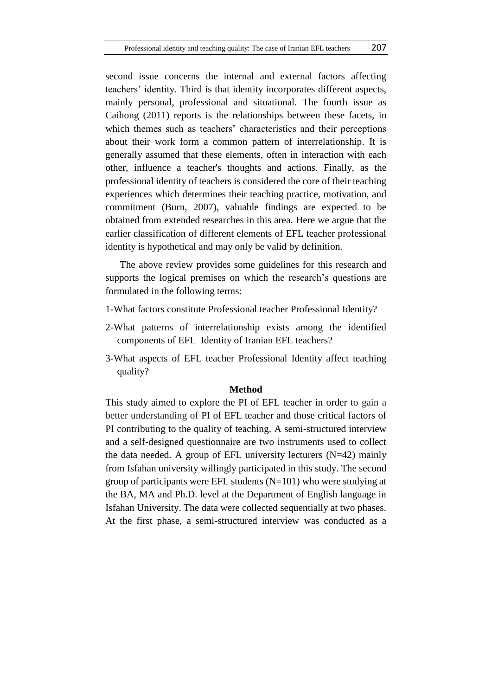second issue concerns the internal and external factors affecting teachers' identity. Third is that identity incorporates different aspects, mainly personal, professional and situational. The fourth issue as Caihong (2011) reports is the relationships between these facets, in which themes such as teachers' characteristics and their perceptions about their work form a common pattern of interrelationship. It is generally assumed that these elements, often in interaction with each other, influence a teacher's thoughts and actions. Finally, as the professional identity of teachers is considered the core of their teaching experiences which determines their teaching practice, motivation, and commitment (Burn, 2007), valuable findings are expected to be obtained from extended researches in this area. Here we argue that the earlier classification of different elements of EFL teacher professional identity is hypothetical and may only be valid by definition.

The above review provides some guidelines for this research and supports the logical premises on which the research's questions are formulated in the following terms:

- 1-What factors constitute Professional teacher Professional Identity?
- 2-What patterns of interrelationship exists among the identified components of EFL Identity of Iranian EFL teachers?
- 3-What aspects of EFL teacher Professional Identity affect teaching quality?

#### **Method**

This study aimed to explore the PI of EFL teacher in order to gain a better understanding of PI of EFL teacher and those critical factors of PI contributing to the quality of teaching. A semi-structured interview and a self-designed questionnaire are two instruments used to collect the data needed. A group of EFL university lecturers  $(N=42)$  mainly from Isfahan university willingly participated in this study. The second group of participants were EFL students (N=101) who were studying at the BA, MA and Ph.D. level at the Department of English language in Isfahan University. The data were collected sequentially at two phases. At the first phase, a semi-structured interview was conducted as a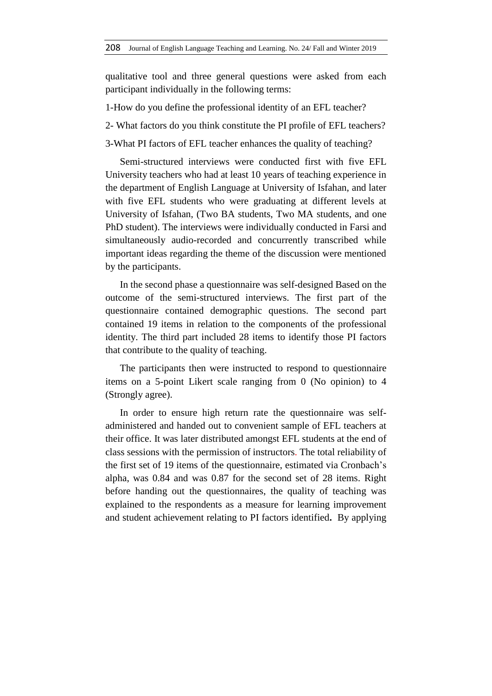qualitative tool and three general questions were asked from each participant individually in the following terms:

1-How do you define the professional identity of an EFL teacher?

2- What factors do you think constitute the PI profile of EFL teachers?

3-What PI factors of EFL teacher enhances the quality of teaching?

Semi-structured interviews were conducted first with five EFL University teachers who had at least 10 years of teaching experience in the department of English Language at University of Isfahan, and later with five EFL students who were graduating at different levels at University of Isfahan, (Two BA students, Two MA students, and one PhD student). The interviews were individually conducted in Farsi and simultaneously audio-recorded and concurrently transcribed while important ideas regarding the theme of the discussion were mentioned by the participants.

In the second phase a questionnaire was self-designed Based on the outcome of the semi-structured interviews. The first part of the questionnaire contained demographic questions. The second part contained 19 items in relation to the components of the professional identity. The third part included 28 items to identify those PI factors that contribute to the quality of teaching.

The participants then were instructed to respond to questionnaire items on a 5-point Likert scale ranging from 0 (No opinion) to 4 (Strongly agree).

In order to ensure high return rate the questionnaire was selfadministered and handed out to convenient sample of EFL teachers at their office. It was later distributed amongst EFL students at the end of class sessions with the permission of instructors. The total reliability of the first set of 19 items of the questionnaire, estimated via Cronbach's alpha, was 0.84 and was 0.87 for the second set of 28 items. Right before handing out the questionnaires, the quality of teaching was explained to the respondents as a measure for learning improvement and student achievement relating to PI factors identified**.** By applying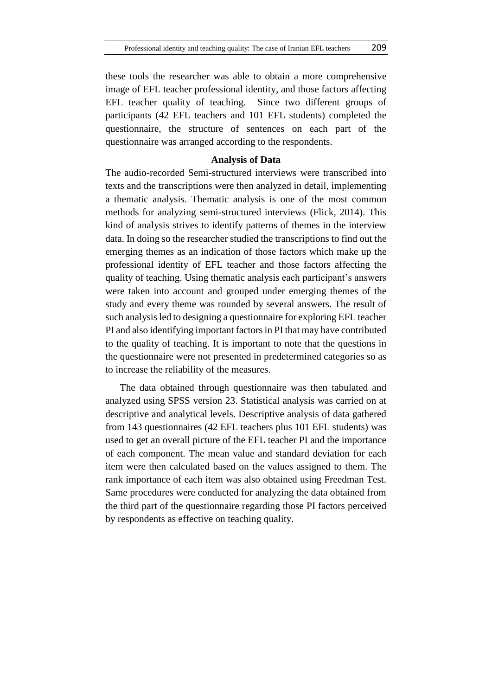these tools the researcher was able to obtain a more comprehensive image of EFL teacher professional identity, and those factors affecting EFL teacher quality of teaching. Since two different groups of participants (42 EFL teachers and 101 EFL students) completed the questionnaire, the structure of sentences on each part of the questionnaire was arranged according to the respondents.

### **Analysis of Data**

The audio-recorded Semi-structured interviews were transcribed into texts and the transcriptions were then analyzed in detail, implementing a thematic analysis. Thematic analysis is one of the most common methods for analyzing [semi-structured interviews](https://www.interaction-design.org/literature/topics/semi-structured-interviews) (Flick, 2014). This kind of analysis strives to identify patterns of themes in the interview data. In doing so the researcher studied the transcriptions to find out the emerging themes as an indication of those factors which make up the professional identity of EFL teacher and those factors affecting the quality of teaching. Using thematic analysis each participant's answers were taken into account and grouped under emerging themes of the study and every theme was rounded by several answers. The result of such analysis led to designing a questionnaire for exploring EFL teacher PI and also identifying important factors in PI that may have contributed to the quality of teaching. It is important to note that the questions in the questionnaire were not presented in predetermined categories so as to increase the reliability of the measures.

The data obtained through questionnaire was then tabulated and analyzed using SPSS version 23. Statistical analysis was carried on at descriptive and analytical levels. Descriptive analysis of data gathered from 143 questionnaires (42 EFL teachers plus 101 EFL students) was used to get an overall picture of the EFL teacher PI and the importance of each component. The mean value and standard deviation for each item were then calculated based on the values assigned to them. The rank importance of each item was also obtained using Freedman Test. Same procedures were conducted for analyzing the data obtained from the third part of the questionnaire regarding those PI factors perceived by respondents as effective on teaching quality.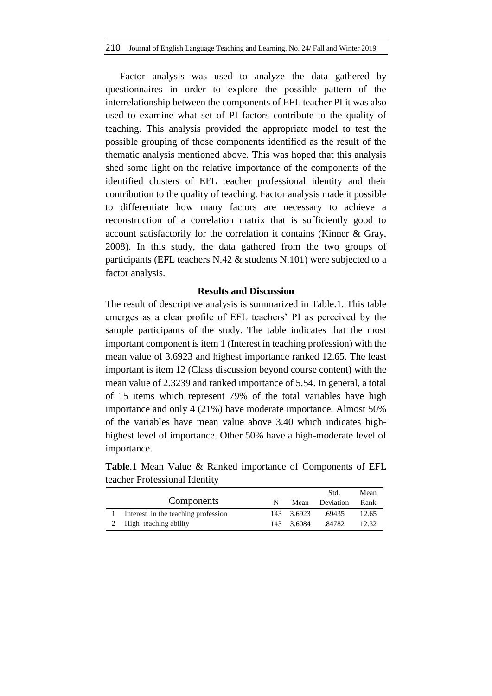Factor analysis was used to analyze the data gathered by questionnaires in order to explore the possible pattern of the interrelationship between the components of EFL teacher PI it was also used to examine what set of PI factors contribute to the quality of teaching. This analysis provided the appropriate model to test the possible grouping of those components identified as the result of the thematic analysis mentioned above. This was hoped that this analysis shed some light on the relative importance of the components of the identified clusters of EFL teacher professional identity and their contribution to the quality of teaching. Factor analysis made it possible to differentiate how many factors are necessary to achieve a reconstruction of a correlation matrix that is sufficiently good to account satisfactorily for the correlation it contains (Kinner & Gray, 2008). In this study, the data gathered from the two groups of participants (EFL teachers N.42 & students N.101) were subjected to a factor analysis.

### **Results and Discussion**

The result of descriptive analysis is summarized in Table.1. This table emerges as a clear profile of EFL teachers' PI as perceived by the sample participants of the study. The table indicates that the most important component is item 1 (Interest in teaching profession) with the mean value of 3.6923 and highest importance ranked 12.65. The least important is item 12 (Class discussion beyond course content) with the mean value of 2.3239 and ranked importance of 5.54. In general, a total of 15 items which represent 79% of the total variables have high importance and only 4 (21%) have moderate importance. Almost 50% of the variables have mean value above 3.40 which indicates highhighest level of importance. Other 50% have a high-moderate level of importance.

**Table**.1 Mean Value & Ranked importance of Components of EFL teacher Professional Identity

|                                     |            | Std.      | Mean  |
|-------------------------------------|------------|-----------|-------|
| Components                          | Mean       | Deviation | Rank  |
| Interest in the teaching profession | 143 3.6923 | .69435    | 12.65 |
| 2 High teaching ability             | 143 3.6084 | .84782.   | 12.32 |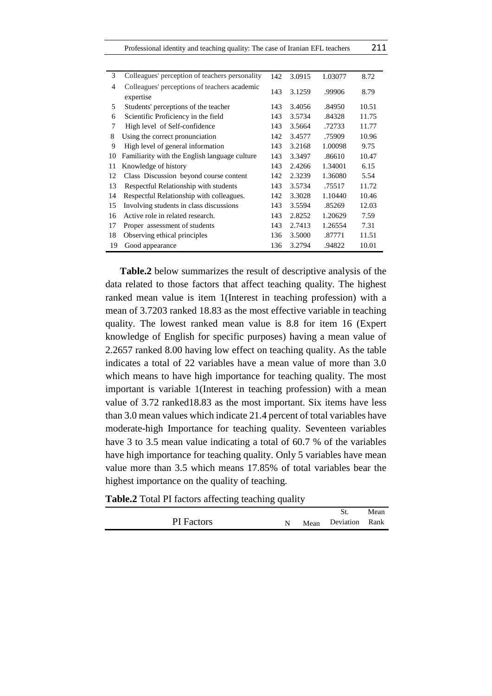Professional identity and teaching quality: The case of Iranian EFL teachers 211

| 3  | Colleagues' perception of teachers personality            | 142 | 3.0915 | 1.03077 | 8.72  |
|----|-----------------------------------------------------------|-----|--------|---------|-------|
| 4  | Colleagues' perceptions of teachers academic<br>expertise | 143 | 3.1259 | .99906  | 8.79  |
| 5  | Students' perceptions of the teacher                      | 143 | 3.4056 | .84950  | 10.51 |
| 6  | Scientific Proficiency in the field                       | 143 | 3.5734 | .84328  | 11.75 |
| 7  | High level of Self-confidence                             | 143 | 3.5664 | .72733  | 11.77 |
| 8  | Using the correct pronunciation                           | 142 | 3.4577 | .75909  | 10.96 |
| 9  | High level of general information                         | 143 | 3.2168 | 1.00098 | 9.75  |
| 10 | Familiarity with the English language culture             | 143 | 3.3497 | .86610  | 10.47 |
| 11 | Knowledge of history                                      | 143 | 2.4266 | 1.34001 | 6.15  |
| 12 | Class Discussion beyond course content                    | 142 | 2.3239 | 1.36080 | 5.54  |
| 13 | Respectful Relationship with students                     | 143 | 3.5734 | .75517  | 11.72 |
| 14 | Respectful Relationship with colleagues.                  | 142 | 3.3028 | 1.10440 | 10.46 |
| 15 | Involving students in class discussions                   | 143 | 3.5594 | .85269  | 12.03 |
| 16 | Active role in related research.                          | 143 | 2.8252 | 1.20629 | 7.59  |
| 17 | Proper assessment of students                             | 143 | 2.7413 | 1.26554 | 7.31  |
| 18 | Observing ethical principles                              | 136 | 3.5000 | .87771  | 11.51 |
| 19 | Good appearance                                           | 136 | 3.2794 | .94822  | 10.01 |

**Table.2** below summarizes the result of descriptive analysis of the data related to those factors that affect teaching quality. The highest ranked mean value is item 1(Interest in teaching profession) with a mean of 3.7203 ranked 18.83 as the most effective variable in teaching quality. The lowest ranked mean value is 8.8 for item 16 (Expert knowledge of English for specific purposes) having a mean value of 2.2657 ranked 8.00 having low effect on teaching quality. As the table indicates a total of 22 variables have a mean value of more than 3.0 which means to have high importance for teaching quality. The most important is variable 1(Interest in teaching profession) with a mean value of 3.72 ranked18.83 as the most important. Six items have less than 3.0 mean values which indicate 21.4 percent of total variables have moderate-high Importance for teaching quality. Seventeen variables have 3 to 3.5 mean value indicating a total of 60.7 % of the variables have high importance for teaching quality. Only 5 variables have mean value more than 3.5 which means 17.85% of total variables bear the highest importance on the quality of teaching.

**Table.2** Total PI factors affecting teaching quality

|                   |  |                     | Mean |
|-------------------|--|---------------------|------|
| <b>PI</b> Factors |  | Mean Deviation Rank |      |
|                   |  |                     |      |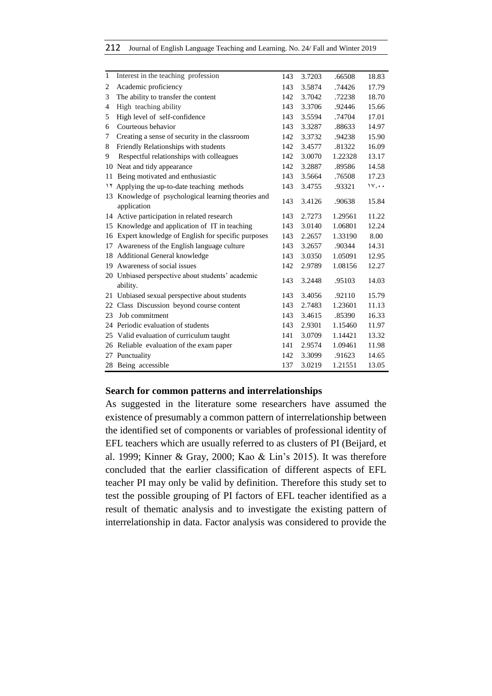|  | 212 Journal of English Language Teaching and Learning. No. 24/ Fall and Winter 2019 |  |  |  |  |  |  |
|--|-------------------------------------------------------------------------------------|--|--|--|--|--|--|
|--|-------------------------------------------------------------------------------------|--|--|--|--|--|--|

| 1  | Interest in the teaching profession                             | 143 | 3.7203 | .66508  | 18.83  |
|----|-----------------------------------------------------------------|-----|--------|---------|--------|
| 2  | Academic proficiency                                            | 143 | 3.5874 | .74426  | 17.79  |
| 3  | The ability to transfer the content                             | 142 | 3.7042 | .72238  | 18.70  |
| 4  | High teaching ability                                           | 143 | 3.3706 | .92446  | 15.66  |
| 5  | High level of self-confidence                                   | 143 | 3.5594 | .74704  | 17.01  |
| 6  | Courteous behavior                                              | 143 | 3.3287 | .88633  | 14.97  |
| 7  | Creating a sense of security in the classroom                   | 142 | 3.3732 | .94238  | 15.90  |
| 8  | Friendly Relationships with students                            | 142 | 3.4577 | .81322  | 16.09  |
| 9  | Respectful relationships with colleagues                        | 142 | 3.0070 | 1.22328 | 13.17  |
| 10 | Neat and tidy appearance                                        | 142 | 3.2887 | .89586  | 14.58  |
| 11 | Being motivated and enthusiastic                                | 143 | 3.5664 | .76508  | 17.23  |
| ۱۲ | Applying the up-to-date teaching methods                        | 143 | 3.4755 | .93321  | 11, 44 |
| 13 | Knowledge of psychological learning theories and<br>application | 143 | 3.4126 | .90638  | 15.84  |
|    | 14 Active participation in related research                     | 143 | 2.7273 | 1.29561 | 11.22  |
|    | 15 Knowledge and application of IT in teaching                  | 143 | 3.0140 | 1.06801 | 12.24  |
| 16 | Expert knowledge of English for specific purposes               | 143 | 2.2657 | 1.33190 | 8.00   |
| 17 | Awareness of the English language culture                       | 143 | 3.2657 | .90344  | 14.31  |
| 18 | Additional General knowledge                                    | 143 | 3.0350 | 1.05091 | 12.95  |
| 19 | Awareness of social issues                                      | 142 | 2.9789 | 1.08156 | 12.27  |
|    | 20 Unbiased perspective about students' academic<br>ability.    | 143 | 3.2448 | .95103  | 14.03  |
|    | 21 Unbiased sexual perspective about students                   | 143 | 3.4056 | .92110  | 15.79  |
| 22 | Class Discussion beyond course content                          | 143 | 2.7483 | 1.23601 | 11.13  |
| 23 | Job commitment                                                  | 143 | 3.4615 | .85390  | 16.33  |
|    | 24 Periodic evaluation of students                              | 143 | 2.9301 | 1.15460 | 11.97  |
|    | 25 Valid evaluation of curriculum taught                        | 141 | 3.0709 | 1.14421 | 13.32  |
|    | 26 Reliable evaluation of the exam paper                        | 141 | 2.9574 | 1.09461 | 11.98  |
| 27 | Punctuality                                                     | 142 | 3.3099 | .91623  | 14.65  |
|    | 28 Being accessible                                             | 137 | 3.0219 | 1.21551 | 13.05  |

#### **Search for common patterns and interrelationships**

As suggested in the literature some researchers have assumed the existence of presumably a common pattern of interrelationship between the identified set of components or variables of professional identity of EFL teachers which are usually referred to as clusters of PI (Beijard, et al. 1999; Kinner & Gray, 2000; Kao & Lin's 2015). It was therefore concluded that the earlier classification of different aspects of EFL teacher PI may only be valid by definition. Therefore this study set to test the possible grouping of PI factors of EFL teacher identified as a result of thematic analysis and to investigate the existing pattern of interrelationship in data. Factor analysis was considered to provide the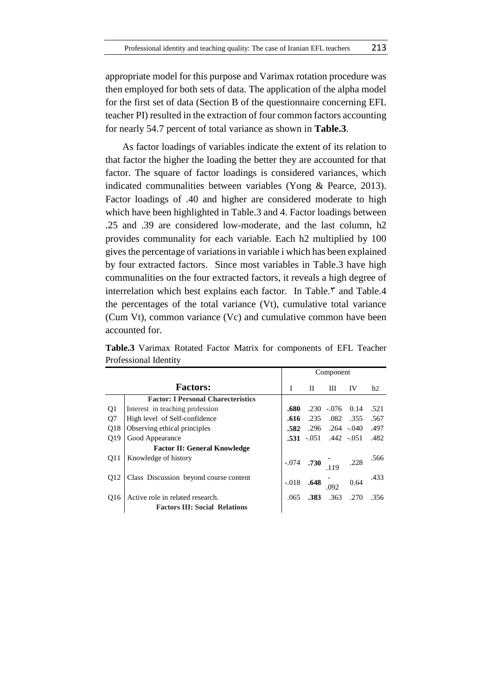appropriate model for this purpose and Varimax rotation procedure was then employed for both sets of data. The application of the alpha model for the first set of data (Section B of the questionnaire concerning EFL teacher PI) resulted in the extraction of four common factors accounting for nearly 54.7 percent of total variance as shown in **Table.3**.

As factor loadings of variables indicate the extent of its relation to that factor the higher the loading the better they are accounted for that factor. The square of factor loadings is considered variances, which indicated communalities between variables (Yong & Pearce, 2013). Factor loadings of .40 and higher are considered moderate to high which have been highlighted in Table.3 and 4. Factor loadings between .25 and .39 are considered low-moderate, and the last column, h2 provides communality for each variable. Each h2 multiplied by 100 gives the percentage of variations in variable i which has been explained by four extracted factors. Since most variables in Table.3 have high communalities on the four extracted factors, it reveals a high degree of interrelation which best explains each factor. In Table. $\tilde{y}$  and Table.4 the percentages of the total variance (Vt), cumulative total variance (Cum Vt), common variance (Vc) and cumulative common have been accounted for.

|                 |                                           | Component |               |               |             |                |
|-----------------|-------------------------------------------|-----------|---------------|---------------|-------------|----------------|
|                 | <b>Factors:</b>                           | T         | П             | Ш             | IV          | h <sub>2</sub> |
|                 | <b>Factor: I Personal Charecteristics</b> |           |               |               |             |                |
| Q1              | Interest in teaching profession           | .680      | .230          | $-.076$       | 0.14        | .521           |
| Q <sub>7</sub>  | High level of Self-confidence             | .616      | .235          |               | .082. .355  | .567           |
| Q18             | Observing ethical principles              | .582      | .296          |               | $.264-.040$ | .497           |
| O <sub>19</sub> | Good Appearance                           |           | $.531 - .051$ | $.442 - .051$ |             | .482           |
|                 | <b>Factor II: General Knowledge</b>       |           |               |               |             |                |
| O <sub>11</sub> | Knowledge of history                      | $-.074$   | .730          |               | .228        | .566           |
|                 |                                           |           |               |               |             |                |
| O <sub>12</sub> | Class Discussion beyond course content    | $-.018$   | .648          | .092          | 0.64        | .433           |
| O <sub>16</sub> | Active role in related research.          | .065      | .383          | .363          | .270        | .356           |
|                 | <b>Factors III: Social Relations</b>      |           |               |               |             |                |

**Table.3** Varimax Rotated Factor Matrix for components of EFL Teacher Professional Identity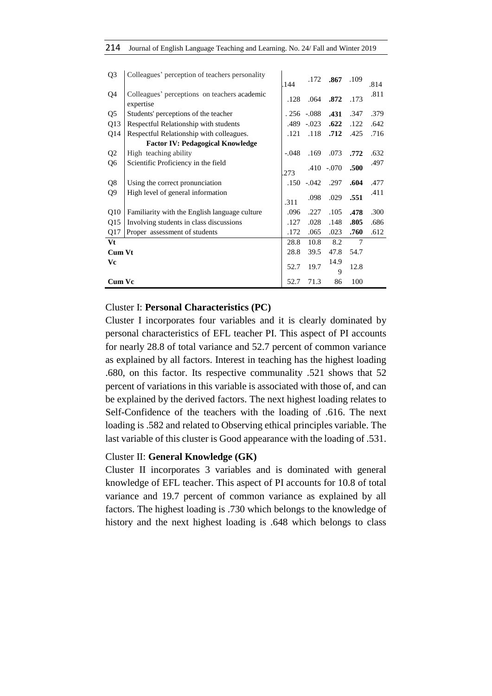| Q <sub>3</sub>  | Colleagues' perception of teachers personality            | .144    | .172          | .867          | .109 | .814 |
|-----------------|-----------------------------------------------------------|---------|---------------|---------------|------|------|
| Q4              | Colleagues' perceptions on teachers academic<br>expertise | .128    | .064          | .872          | .173 | .811 |
| Q <sub>5</sub>  | Students' perceptions of the teacher                      |         | $.256 - .088$ | .431          | .347 | .379 |
| Q13             | Respectful Relationship with students                     | .489    | $-.023$       | .622          | .122 | .642 |
| Q <sub>14</sub> | Respectful Relationship with colleagues.                  | .121    | .118          | .712          | .425 | .716 |
|                 | <b>Factor IV: Pedagogical Knowledge</b>                   |         |               |               |      |      |
| Q <sub>2</sub>  | High teaching ability                                     | $-.048$ | .169          | .073          | .772 | .632 |
| Q6              | Scientific Proficiency in the field                       | .273    |               | $.410 - .070$ | .500 | .497 |
| Q8              | Using the correct pronunciation                           | .150    | $-.042$       | .297          | .604 | .477 |
| Q9              | High level of general information                         | .311    | .098          | .029          | .551 | .411 |
| Q10             | Familiarity with the English language culture             | .096    | .227          | .105          | .478 | .300 |
| Q15             | Involving students in class discussions                   | .127    | .028          | .148          | .805 | .686 |
| Q17             | Proper assessment of students                             | .172    | .065          | .023          | .760 | .612 |
| Vt              |                                                           | 28.8    | 10.8          | 8.2           | 7    |      |
| Cum Vt          |                                                           | 28.8    | 39.5          | 47.8          | 54.7 |      |
| Vc              |                                                           | 52.7    | 19.7          | 14.9<br>9     | 12.8 |      |
| Cum Vc          |                                                           | 52.7    | 71.3          | 86            | 100  |      |

### Cluster I: **Personal Characteristics (PC)**

Cluster I incorporates four variables and it is clearly dominated by personal characteristics of EFL teacher PI. This aspect of PI accounts for nearly 28.8 of total variance and 52.7 percent of common variance as explained by all factors. Interest in teaching has the highest loading .680, on this factor. Its respective communality .521 shows that 52 percent of variations in this variable is associated with those of, and can be explained by the derived factors. The next highest loading relates to Self-Confidence of the teachers with the loading of .616. The next loading is .582 and related to Observing ethical principles variable. The last variable of this cluster is Good appearance with the loading of .531.

### Cluster II: **General Knowledge (GK)**

Cluster II incorporates 3 variables and is dominated with general knowledge of EFL teacher. This aspect of PI accounts for 10.8 of total variance and 19.7 percent of common variance as explained by all factors. The highest loading is .730 which belongs to the knowledge of history and the next highest loading is .648 which belongs to class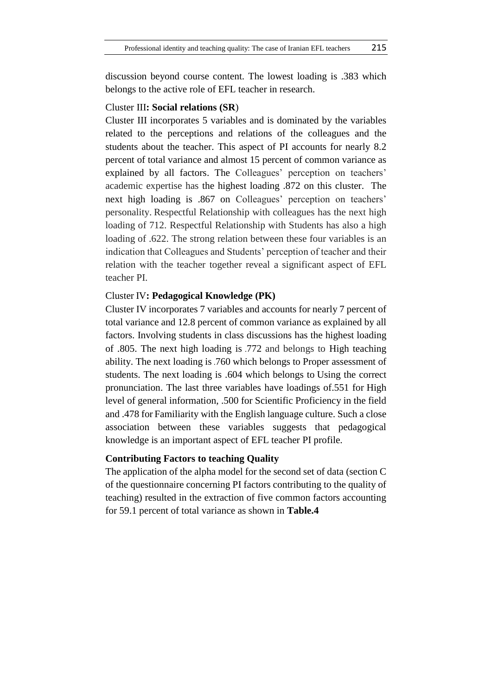discussion beyond course content. The lowest loading is .383 which belongs to the active role of EFL teacher in research.

### Cluster III**: Social relations (SR**)

Cluster III incorporates 5 variables and is dominated by the variables related to the perceptions and relations of the colleagues and the students about the teacher. This aspect of PI accounts for nearly 8.2 percent of total variance and almost 15 percent of common variance as explained by all factors. The Colleagues' perception on teachers' academic expertise has the highest loading .872 on this cluster. The next high loading is .867 on Colleagues' perception on teachers' personality. Respectful Relationship with colleagues has the next high loading of 712. Respectful Relationship with Students has also a high loading of .622. The strong relation between these four variables is an indication that Colleagues and Students' perception of teacher and their relation with the teacher together reveal a significant aspect of EFL teacher PI.

### Cluster IV**: Pedagogical Knowledge (PK)**

Cluster IV incorporates 7 variables and accounts for nearly 7 percent of total variance and 12.8 percent of common variance as explained by all factors. Involving students in class discussions has the highest loading of .805. The next high loading is .772 and belongs to High teaching ability. The next loading is .760 which belongs to Proper assessment of students. The next loading is .604 which belongs to Using the correct pronunciation. The last three variables have loadings of.551 for High level of general information, .500 for Scientific Proficiency in the field and .478 for Familiarity with the English language culture. Such a close association between these variables suggests that pedagogical knowledge is an important aspect of EFL teacher PI profile.

### **Contributing Factors to teaching Quality**

The application of the alpha model for the second set of data (section C of the questionnaire concerning PI factors contributing to the quality of teaching) resulted in the extraction of five common factors accounting for 59.1 percent of total variance as shown in **Table.4**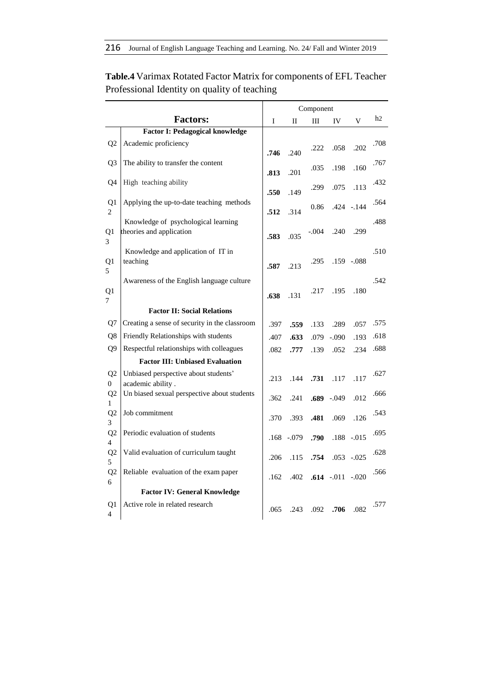|                                  |                                                                 | Component |         |         |                      |               |      |
|----------------------------------|-----------------------------------------------------------------|-----------|---------|---------|----------------------|---------------|------|
|                                  | <b>Factors:</b>                                                 | I         | П       | Ш       | IV                   | V             | h2   |
|                                  | <b>Factor I: Pedagogical knowledge</b>                          |           |         |         |                      |               |      |
| Q2                               | Academic proficiency                                            | .746      | .240    | .222    | .058                 | .202          | .708 |
| Q <sub>3</sub>                   | The ability to transfer the content                             | .813      | .201    | .035    | .198                 | .160          | .767 |
| Q4                               | High teaching ability                                           | .550      | .149    | .299    | .075                 | .113          | .432 |
| Q1<br>$\overline{2}$             | Applying the up-to-date teaching methods                        | .512      | .314    | 0.86    |                      | $.424 - .144$ | .564 |
| Q1<br>3                          | Knowledge of psychological learning<br>theories and application | .583      | .035    | $-.004$ | .240                 | .299          | .488 |
| Q1<br>5                          | Knowledge and application of IT in<br>teaching                  | .587      | .213    | .295    | .159                 | $-.088$       | .510 |
| Q1<br>7                          | Awareness of the English language culture                       | .638      | .131    | .217    | .195                 | .180          | .542 |
|                                  | <b>Factor II: Social Relations</b>                              |           |         |         |                      |               |      |
| Q7                               | Creating a sense of security in the classroom                   | .397      | .559    | .133    | .289                 | .057          | .575 |
| Q8                               | Friendly Relationships with students                            | .407      | .633    | .079    | $-.090$              | .193          | .618 |
| Q <sub>9</sub>                   | Respectful relationships with colleagues                        | .082      | .777    | .139    | .052                 | .234          | .688 |
|                                  | <b>Factor III: Unbiased Evaluation</b>                          |           |         |         |                      |               |      |
| Q <sub>2</sub><br>$\overline{0}$ | Unbiased perspective about students'<br>academic ability.       | .213      | .144    | .731    | .117                 | .117          | .627 |
| Q2<br>1                          | Un biased sexual perspective about students                     | .362      | .241    | .689    | $-.049$              | .012          | .666 |
| Q <sub>2</sub><br>3              | Job commitment                                                  | .370      | .393    | .481    | .069                 | .126          | .543 |
| Q2<br>4                          | Periodic evaluation of students                                 | .168      | $-.079$ | .790    | .188                 | $-.015$       | .695 |
| Q <sub>2</sub><br>5              | Valid evaluation of curriculum taught                           | .206      | .115    | .754    | .053                 | $-.025$       | .628 |
| Q <sub>2</sub><br>6              | Reliable evaluation of the exam paper                           | .162      | .402    |         | $.614 - .011 - .020$ |               | .566 |
|                                  | <b>Factor IV: General Knowledge</b>                             |           |         |         |                      |               |      |
| Q1<br>4                          | Active role in related research                                 | .065      | .243    | .092    | .706                 | .082          | .577 |

**Table.4** Varimax Rotated Factor Matrix for components of EFL Teacher Professional Identity on quality of teaching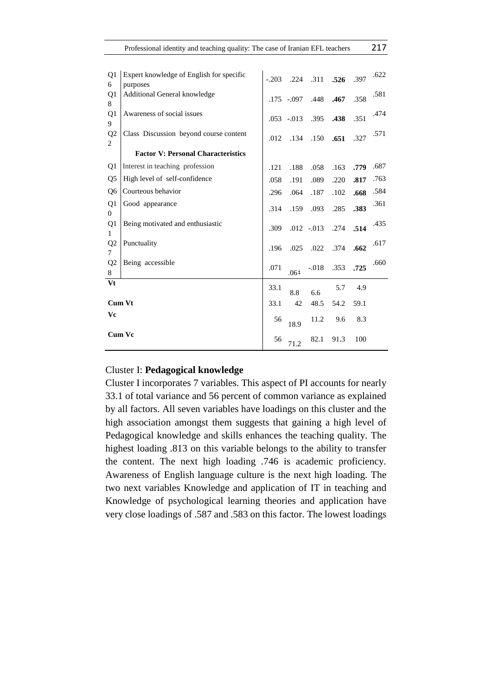| Professional identity and teaching quality: The case of Iranian EFL teachers |                                                      |      |                  |                              |      |      |      |
|------------------------------------------------------------------------------|------------------------------------------------------|------|------------------|------------------------------|------|------|------|
|                                                                              |                                                      |      |                  |                              |      |      |      |
| Q <sub>1</sub><br>6                                                          | Expert knowledge of English for specific<br>purposes |      |                  | $-.203$ $.224$ $.311$ $.526$ |      | .397 | .622 |
| Q1<br>8                                                                      | Additional General knowledge                         |      | $.175-.097$      | .448                         | .467 | .358 | .581 |
| Q <sub>1</sub><br>9                                                          | Awareness of social issues                           |      | $.053-.013$      | .395                         | .438 | .351 | .474 |
| Q <sub>2</sub><br>2                                                          | Class Discussion beyond course content               | .012 | .134             | .150                         | .651 | .327 | .571 |
|                                                                              | <b>Factor V: Personal Characteristics</b>            |      |                  |                              |      |      |      |
| O <sub>1</sub>                                                               | Interest in teaching profession                      | .121 | .188             | .058                         | .163 | .779 | .687 |
| Q <sub>5</sub>                                                               | High level of self-confidence                        | .058 | .191             | .089                         | .220 | .817 | .763 |
| Q <sub>6</sub>                                                               | Courteous behavior                                   | .296 | .064             | .187                         | .102 | .668 | .584 |
| Q1<br>$\Omega$                                                               | Good appearance                                      | .314 | .159             | .093                         | .285 | .383 | .361 |
| Q1<br>$\mathbf{1}$                                                           | Being motivated and enthusiastic                     | .309 |                  | $.012 - .013$                | .274 | .514 | .435 |
| Q <sub>2</sub><br>$\tau$                                                     | Punctuality                                          | .196 | .025             | .022                         | .374 | .662 | .617 |
| Q <sub>2</sub><br>8                                                          | Being accessible                                     | .071 | .06 <sup>2</sup> | $-.018$                      | .353 | .725 | .660 |
| Vt                                                                           |                                                      | 33.1 | 8.8              | 6.6                          | 5.7  | 4.9  |      |

**Cum Vt** 33.1 42 48.5 54.2 59.1

18.9 11.2 9.6 8.3

82.1 91.3 100

71.2

**Vc** 56  $\frac{1}{2}$  56  $\frac{1}{2}$ 

**Cum Vc** 56  $\frac{1}{2}$  56  $\frac{1}{2}$ 

## Cluster I: **Pedagogical knowledge**

Cluster I incorporates 7 variables. This aspect of PI accounts for nearly 33.1 of total variance and 56 percent of common variance as explained by all factors. All seven variables have loadings on this cluster and the high association amongst them suggests that gaining a high level of Pedagogical knowledge and skills enhances the teaching quality. The highest loading .813 on this variable belongs to the ability to transfer the content. The next high loading .746 is academic proficiency. Awareness of English language culture is the next high loading. The two next variables Knowledge and application of IT in teaching and Knowledge of psychological learning theories and application have very close loadings of .587 and .583 on this factor. The lowest loadings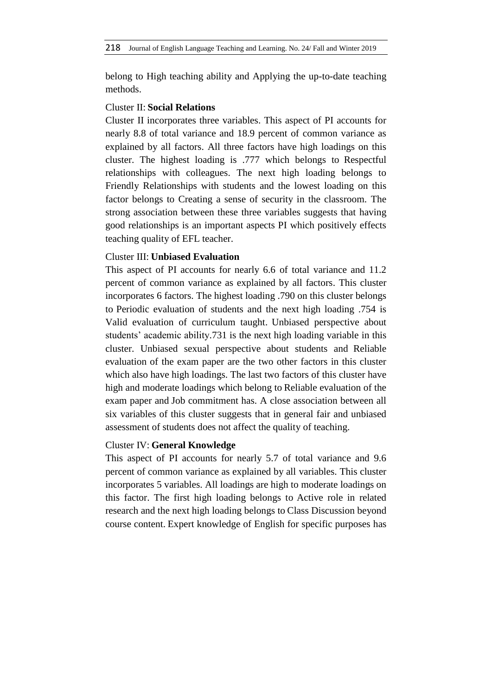belong to High teaching ability and Applying the up-to-date teaching methods.

# Cluster II: **Social Relations**

Cluster II incorporates three variables. This aspect of PI accounts for nearly 8.8 of total variance and 18.9 percent of common variance as explained by all factors. All three factors have high loadings on this cluster. The highest loading is .777 which belongs to Respectful relationships with colleagues. The next high loading belongs to Friendly Relationships with students and the lowest loading on this factor belongs to Creating a sense of security in the classroom. The strong association between these three variables suggests that having good relationships is an important aspects PI which positively effects teaching quality of EFL teacher.

# Cluster III: **Unbiased Evaluation**

This aspect of PI accounts for nearly 6.6 of total variance and 11.2 percent of common variance as explained by all factors. This cluster incorporates 6 factors. The highest loading .790 on this cluster belongs to Periodic evaluation of students and the next high loading .754 is Valid evaluation of curriculum taught. Unbiased perspective about students' academic ability.731 is the next high loading variable in this cluster. Unbiased sexual perspective about students and Reliable evaluation of the exam paper are the two other factors in this cluster which also have high loadings. The last two factors of this cluster have high and moderate loadings which belong to Reliable evaluation of the exam paper and Job commitment has. A close association between all six variables of this cluster suggests that in general fair and unbiased assessment of students does not affect the quality of teaching.

# Cluster IV: **General Knowledge**

This aspect of PI accounts for nearly 5.7 of total variance and 9.6 percent of common variance as explained by all variables. This cluster incorporates 5 variables. All loadings are high to moderate loadings on this factor. The first high loading belongs to Active role in related research and the next high loading belongs to Class Discussion beyond course content. Expert knowledge of English for specific purposes has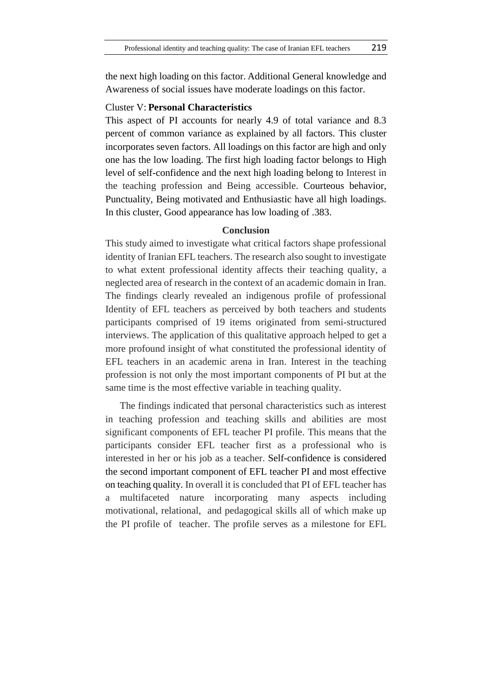the next high loading on this factor. Additional General knowledge and Awareness of social issues have moderate loadings on this factor.

### Cluster V: **Personal Characteristics**

This aspect of PI accounts for nearly 4.9 of total variance and 8.3 percent of common variance as explained by all factors. This cluster incorporates seven factors. All loadings on this factor are high and only one has the low loading. The first high loading factor belongs to High level of self-confidence and the next high loading belong to Interest in the teaching profession and Being accessible. Courteous behavior, Punctuality, Being motivated and Enthusiastic have all high loadings. In this cluster, Good appearance has low loading of .383.

# **Conclusion**

This study aimed to investigate what critical factors shape professional identity of Iranian EFL teachers. The research also sought to investigate to what extent professional identity affects their teaching quality, a neglected area of research in the context of an academic domain in Iran. The findings clearly revealed an indigenous profile of professional Identity of EFL teachers as perceived by both teachers and students participants comprised of 19 items originated from semi-structured interviews. The application of this qualitative approach helped to get a more profound insight of what constituted the professional identity of EFL teachers in an academic arena in Iran. Interest in the teaching profession is not only the most important components of PI but at the same time is the most effective variable in teaching quality.

The findings indicated that personal characteristics such as interest in teaching profession and teaching skills and abilities are most significant components of EFL teacher PI profile. This means that the participants consider EFL teacher first as a professional who is interested in her or his job as a teacher. Self-confidence is considered the second important component of EFL teacher PI and most effective on teaching quality. In overall it is concluded that PI of EFL teacher has a multifaceted nature incorporating many aspects including motivational, relational, and pedagogical skills all of which make up the PI profile of teacher. The profile serves as a milestone for EFL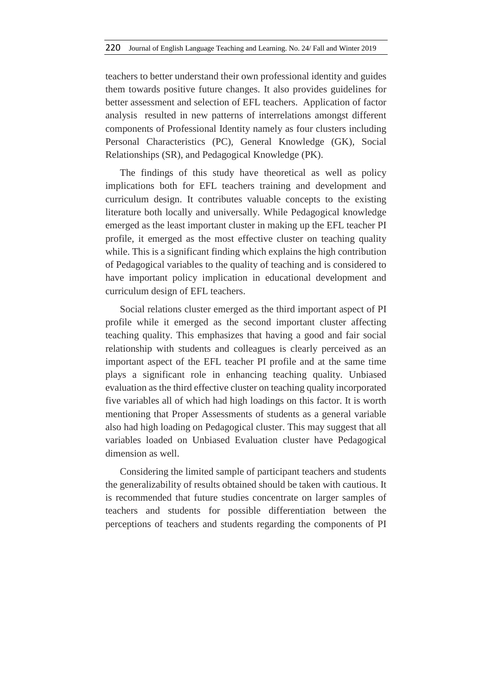teachers to better understand their own professional identity and guides them towards positive future changes. It also provides guidelines for better assessment and selection of EFL teachers. Application of factor analysis resulted in new patterns of interrelations amongst different components of Professional Identity namely as four clusters including Personal Characteristics (PC), General Knowledge (GK), Social Relationships (SR), and Pedagogical Knowledge (PK).

The findings of this study have theoretical as well as policy implications both for EFL teachers training and development and curriculum design. It contributes valuable concepts to the existing literature both locally and universally. While Pedagogical knowledge emerged as the least important cluster in making up the EFL teacher PI profile, it emerged as the most effective cluster on teaching quality while. This is a significant finding which explains the high contribution of Pedagogical variables to the quality of teaching and is considered to have important policy implication in educational development and curriculum design of EFL teachers.

Social relations cluster emerged as the third important aspect of PI profile while it emerged as the second important cluster affecting teaching quality. This emphasizes that having a good and fair social relationship with students and colleagues is clearly perceived as an important aspect of the EFL teacher PI profile and at the same time plays a significant role in enhancing teaching quality. Unbiased evaluation as the third effective cluster on teaching quality incorporated five variables all of which had high loadings on this factor. It is worth mentioning that Proper Assessments of students as a general variable also had high loading on Pedagogical cluster. This may suggest that all variables loaded on Unbiased Evaluation cluster have Pedagogical dimension as well.

Considering the limited sample of participant teachers and students the generalizability of results obtained should be taken with cautious. It is recommended that future studies concentrate on larger samples of teachers and students for possible differentiation between the perceptions of teachers and students regarding the components of PI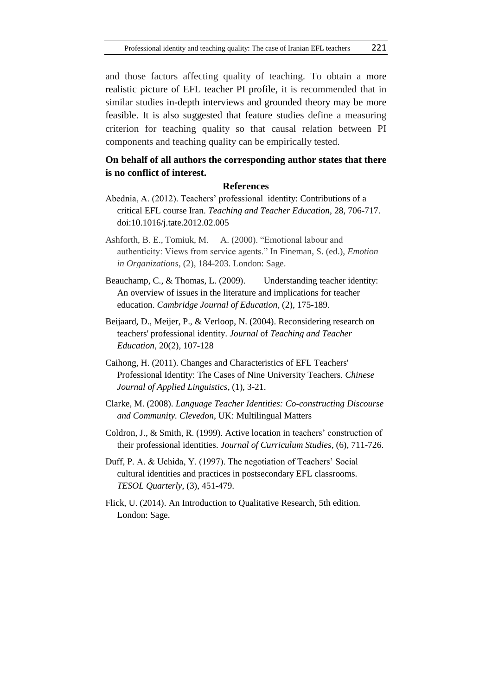and those factors affecting quality of teaching. To obtain a more realistic picture of EFL teacher PI profile, it is recommended that in similar studies in-depth interviews and grounded theory may be more feasible. It is also suggested that feature studies define a measuring criterion for teaching quality so that causal relation between PI components and teaching quality can be empirically tested.

# **On behalf of all authors the corresponding author states that there is no conflict of interest.**

#### **References**

- Abednia, A. (2012). Teachers' professional identity: Contributions of a critical EFL course Iran. *Teaching and Teacher Education*, 28, 706-717. doi:10.1016/j.tate.2012.02.005
- Ashforth, B. E., Tomiuk, M. A. (2000). "Emotional labour and authenticity: Views from service agents." In Fineman, S. (ed.), *Emotion in Organizations*, (2), 184-203. London: Sage.
- Beauchamp, C., & Thomas, L. (2009). Understanding teacher identity: An overview of issues in the literature and implications for teacher education. *Cambridge Journal of Education*, (2), 175-189.
- Beijaard, D., Meijer, P., & Verloop, N. (2004). Reconsidering research on teachers' professional identity. *Journal* of *Teaching and Teacher Education*, 20(2), 107-128
- Caihong, H. (2011). Changes and Characteristics of EFL Teachers' Professional Identity: The Cases of Nine University Teachers. *Chinese Journal of Applied Linguistics*, (1), 3-21.
- Clarke, M. (2008). *Language Teacher Identities: Co-constructing Discourse and Community. Clevedon*, UK: Multilingual Matters
- Coldron, J., & Smith, R. (1999). Active location in teachers' construction of their professional identities. *Journal of Curriculum Studies*, (6), 711-726.
- Duff, P. A. & Uchida, Y. (1997). The negotiation of Teachers' Social cultural identities and practices in postsecondary EFL classrooms. *TESOL Quarterly*, (3), 451-479.
- Flick, U. (2014). An Introduction to Qualitative Research, 5th edition. London: Sage.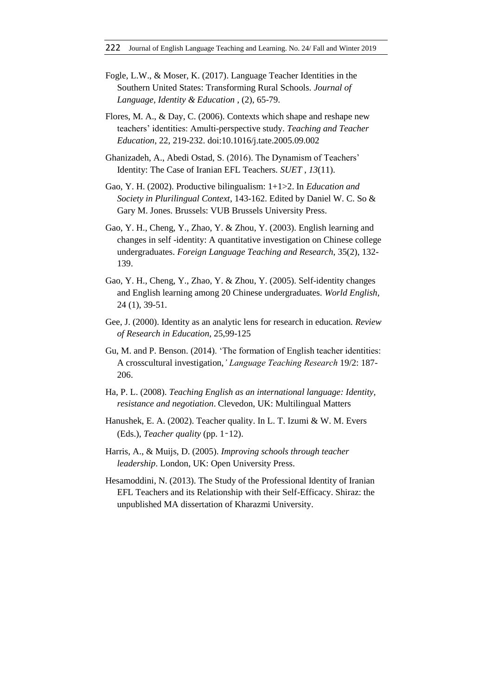- Fogle, L.W., & Moser, K. (2017). Language Teacher Identities in the Southern United States: Transforming Rural Schools*. Journal of Language, Identity & Education* , (2), 65-79.
- Flores, M. A., & Day, C. (2006). Contexts which shape and reshape new teachers' identities: Amulti-perspective study. *Teaching and Teacher Education*, 22, 219-232. doi:10.1016/j.tate.2005.09.002
- Ghanizadeh, A., Abedi Ostad, S. (2016). The Dynamism of Teachers' Identity: The Case of Iranian EFL Teachers. *SUET* , *13*(11).
- Gao, Y. H. (2002). Productive bilingualism: 1+1>2. In *Education and Society in Plurilingual Context*, 143-162. Edited by Daniel W. C. So & Gary M. Jones. Brussels: VUB Brussels University Press.
- Gao, Y. H., Cheng, Y., Zhao, Y. & Zhou, Y. (2003). English learning and changes in self -identity: A quantitative investigation on Chinese college undergraduates. *Foreign Language Teaching and Research*, 35(2), 132- 139.
- Gao, Y. H., Cheng, Y., Zhao, Y. & Zhou, Y. (2005). Self-identity changes and English learning among 20 Chinese undergraduates. *World English,*  24 (1), 39-51.
- Gee, J. (2000). Identity as an analytic lens for research in education. *Review of Research in Education*, 25,99-125
- Gu, M. and P. Benson. (2014). 'The formation of English teacher identities: A crosscultural investigation,*' Language Teaching Research* 19/2: 187- 206.
- Ha, P. L. (2008). *Teaching English as an international language: Identity, resistance and negotiation*. Clevedon, UK: Multilingual Matters
- Hanushek, E. A. (2002). Teacher quality. In L. T. Izumi & W. M. Evers (Eds.), *Teacher quality* (pp. 1–12).
- Harris, A., & Muijs, D. (2005). *Improving schools through teacher leadership*. London, UK: Open University Press.
- Hesamoddini, N. (2013). The Study of the Professional Identity of Iranian EFL Teachers and its Relationship with their Self-Efficacy. Shiraz: the unpublished MA dissertation of Kharazmi University.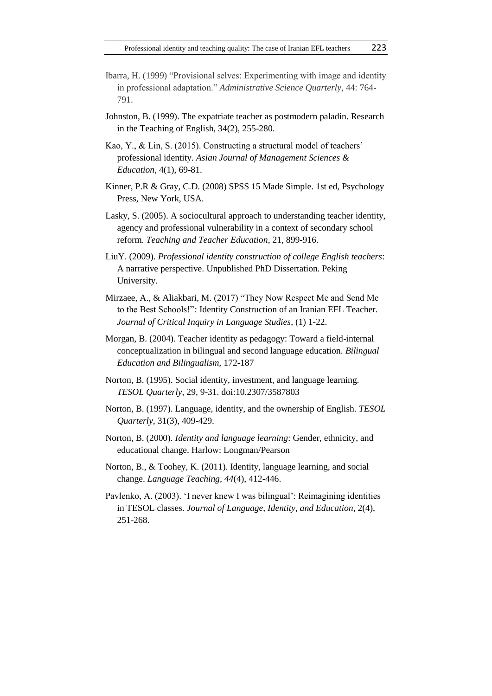- Ibarra, H. (1999) "Provisional selves: Experimenting with image and identity in professional adaptation." *Administrative Science Quarterly*, 44: 764- 791.
- Johnston, B. (1999). The expatriate teacher as postmodern paladin. Research in the Teaching of English, 34(2), 255-280.
- Kao, Y., & Lin, S. (2015). Constructing a structural model of teachers' professional identity. *Asian Journal of Management Sciences & Education*, 4(1), 69-81.
- Kinner, P.R & Gray, C.D. (2008) SPSS 15 Made Simple. 1st ed, Psychology Press, New York, USA.
- Lasky, S. (2005). A sociocultural approach to understanding teacher identity, agency and professional vulnerability in a context of secondary school reform. *Teaching and Teacher Education*, 21, 899-916.
- LiuY. (2009). *Professional identity construction of college English teachers*: A narrative perspective. Unpublished PhD Dissertation. Peking University.
- Mirzaee, A., & Aliakbari, M. (2017) "They Now Respect Me and Send Me to the Best Schools!"*:* Identity Construction of an Iranian EFL Teacher. *Journal of Critical Inquiry in Language Studies*, (1) 1-22.
- Morgan, B. (2004). Teacher identity as pedagogy: Toward a field-internal conceptualization in bilingual and second language education. *Bilingual Education and Bilingualism,* 172-187
- Norton, B. (1995). Social identity, investment, and language learning. *TESOL Quarterly*, 29, 9-31. doi:10.2307/3587803
- Norton, B. (1997). Language, identity, and the ownership of English. *TESOL Quarterly*, 31(3), 409-429.
- Norton, B. (2000). *Identity and language learning*: Gender, ethnicity, and educational change. Harlow: Longman/Pearson
- Norton, B., & Toohey, K. (2011). Identity, language learning, and social change. *Language Teaching, 44*(4), 412-446.
- Pavlenko, A. (2003). 'I never knew I was bilingual': Reimagining identities in TESOL classes. *Journal of Language, Identity, and Education*, 2(4), 251-268.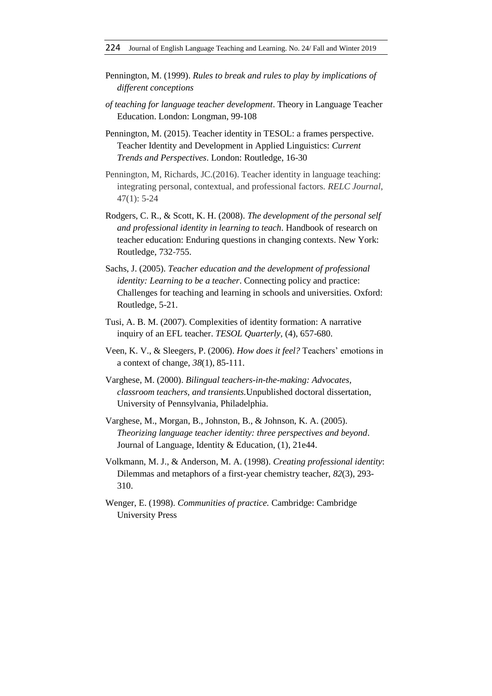- Pennington, M. (1999). *Rules to break and rules to play by implications of different conceptions*
- *of teaching for language teacher development*. Theory in Language Teacher Education. London: Longman, 99-108
- Pennington, M. (2015). Teacher identity in TESOL: a frames perspective. Teacher Identity and Development in Applied Linguistics: *Current Trends and Perspectives*. London: Routledge, 16-30
- Pennington, M, Richards, JC.(2016). Teacher identity in language teaching: integrating personal, contextual, and professional factors. *RELC Journal*, 47(1): 5-24
- Rodgers, C. R., & Scott, K. H. (2008). *The development of the personal self and professional identity in learning to teach*. Handbook of research on teacher education: Enduring questions in changing contexts. New York: Routledge, 732-755.
- Sachs, J. (2005). *Teacher education and the development of professional identity: Learning to be a teacher.* Connecting policy and practice: Challenges for teaching and learning in schools and universities*.* Oxford: Routledge, 5-21.
- Tusi, A. B. M. (2007). Complexities of identity formation: A narrative inquiry of an EFL teacher. *TESOL Quarterly*, (4), 657-680.
- Veen, K. V., & Sleegers, P. (2006). *How does it feel?* Teachers' emotions in a context of change, *38*(1), 85-111.
- Varghese, M. (2000). *Bilingual teachers-in-the-making: Advocates, classroom teachers, and transients.*Unpublished doctoral dissertation, University of Pennsylvania, Philadelphia.
- Varghese, M., Morgan, B., Johnston, B., & Johnson, K. A. (2005). *Theorizing language teacher identity: three perspectives and beyond*. Journal of Language, Identity & Education, (1), 21e44.
- Volkmann, M. J., & Anderson, M. A. (1998). *Creating professional identity*: Dilemmas and metaphors of a first-year chemistry teacher, *82*(3), 293- 310.
- Wenger, E. (1998). *Communities of practice.* Cambridge: Cambridge University Press